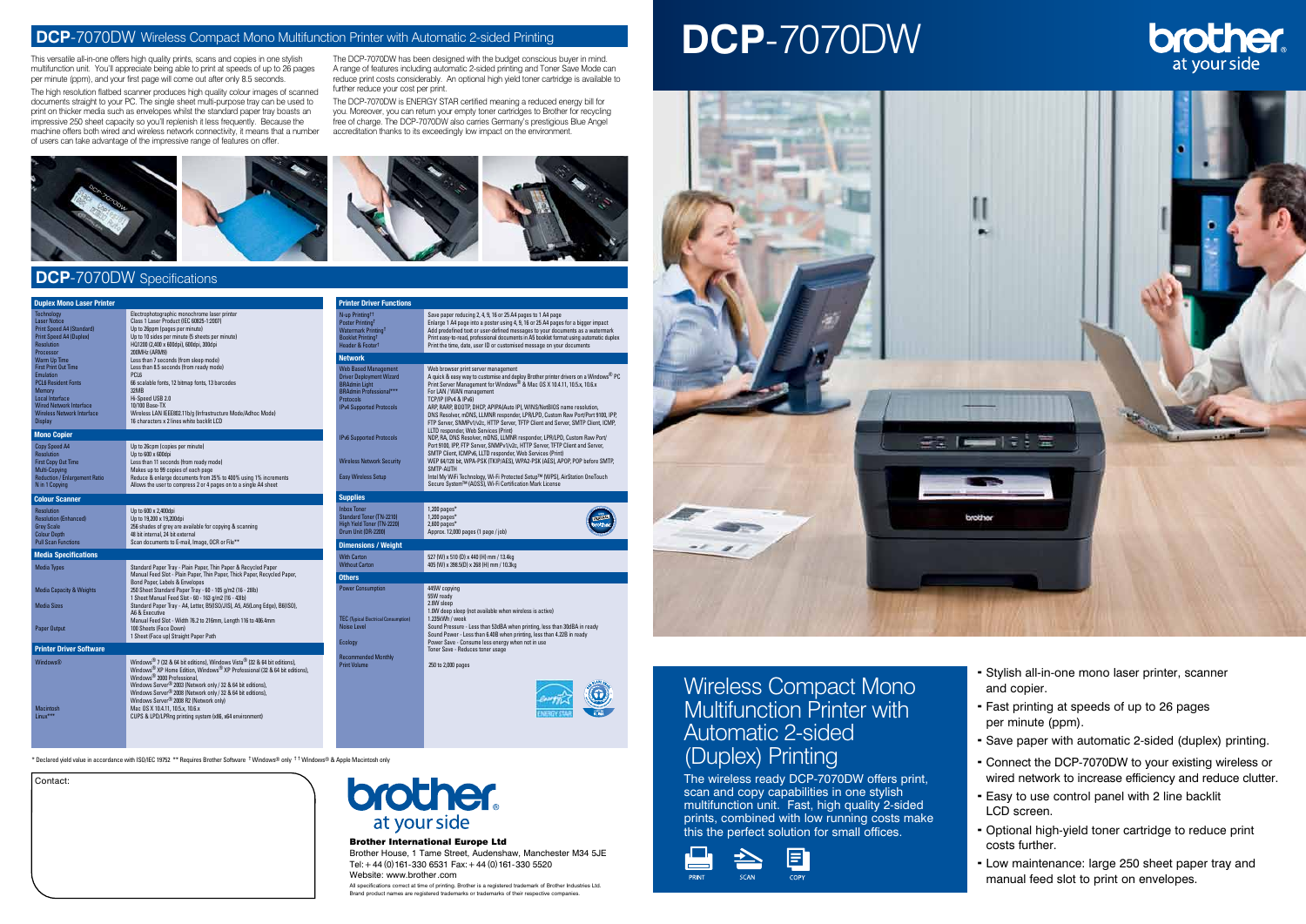\* Declared yield value in accordance with ISO/IEC 19752 \*\* Requires Brother Software † Windows® only † † Windows® & Apple Macintosh only

# Wireless Compact Mono Multifunction Printer with Automatic 2-sided (Duplex) Printing

Brother House, 1 Tame Street, Audenshaw, Manchester M34 5JE Tel:+44 (0)161-330 6531 Fax:+44 (0)161-330 5520 Website: www.brother.com

The wireless ready DCP-7070DW offers print, scan and copy capabilities in one stylish multifunction unit. Fast, high quality 2-sided prints, combined with low running costs make this the perfect solution for small offices.







All specifications correct at time of printing. Brother is a registered trademark of Brother Industries Ltd. Brand product names are registered trademarks or trademarks of their respective companies.

- Stylish all-in-one mono laser printer, scanner and copier.
- Fast printing at speeds of up to 26 pages per minute (ppm).
- Save paper with automatic 2-sided (duplex) printing.
- Connect the DCP-7070DW to your existing wireless or wired network to increase efficiency and reduce clutter.
- Easy to use control panel with 2 line backlit LCD screen.
- Optional high-yield toner cartridge to reduce print costs further.
- Low maintenance: large 250 sheet paper tray and manual feed slot to print on envelopes.

| <b>Duplex Mono Laser Printer</b>                                                                                                                                                                    |                                                                                                                                                                                                                                                                                                                                                                                                                                                                           | <b>Printer Driver Functions</b>                                                                                                                                                 |                                                                                                                                                                                                                                                                                                                                                                                                                                                                                                                    |
|-----------------------------------------------------------------------------------------------------------------------------------------------------------------------------------------------------|---------------------------------------------------------------------------------------------------------------------------------------------------------------------------------------------------------------------------------------------------------------------------------------------------------------------------------------------------------------------------------------------------------------------------------------------------------------------------|---------------------------------------------------------------------------------------------------------------------------------------------------------------------------------|--------------------------------------------------------------------------------------------------------------------------------------------------------------------------------------------------------------------------------------------------------------------------------------------------------------------------------------------------------------------------------------------------------------------------------------------------------------------------------------------------------------------|
| Technology<br><b>Laser Notice</b><br>Print Speed A4 (Standard)<br><b>Print Speed A4 (Duplex)</b><br>Resolution<br>Processor                                                                         | Electrophotographic monochrome laser printer<br>Class 1 Laser Product (IEC 60825-1:2007)<br>Up to 26ppm (pages per minute)<br>Up to 10 sides per minute (5 sheets per minute)<br>HQ1200 (2,400 x 600dpi), 600dpi, 300dpi<br>200MHz (ARM9)                                                                                                                                                                                                                                 | N-up Printing <sup>tt</sup><br>Poster Printing <sup>t</sup><br>Watermark Printing <sup>t</sup><br>Booklet Printing <sup>t</sup><br><b>Header &amp; Footert</b>                  | Save paper reducing 2, 4, 9, 16 or 25 A4 pages to 1 A4 page<br>Enlarge 1 A4 page into a poster using 4, 9, 16 or 25 A4 pages for a bigger impact<br>Add predefined text or user-defined messages to your documents as a watermark<br>Print easy-to-read, professional documents in A5 booklet format using automatic duplex<br>Print the time, date, user ID or customised message on your documents                                                                                                               |
| Warm Up Time                                                                                                                                                                                        | Less than 7 seconds (from sleep mode)                                                                                                                                                                                                                                                                                                                                                                                                                                     | <b>Network</b>                                                                                                                                                                  |                                                                                                                                                                                                                                                                                                                                                                                                                                                                                                                    |
| <b>First Print Out Time</b><br><b>Emulation</b><br><b>PCL6 Resident Fonts</b><br>Memory<br>Local Interface<br><b>Wired Network Interface</b><br><b>Wireless Network Interface</b><br><b>Display</b> | Less than 8.5 seconds (from ready mode)<br>PCL <sub>6</sub><br>66 scalable fonts, 12 bitmap fonts, 13 barcodes<br>32MB<br>Hi-Speed USB 2.0<br>10/100 Base-TX<br>Wireless LAN IEEE802.11b/g (Infrastructure Mode/Adhoc Mode)<br>16 characters x 2 lines white backlit LCD                                                                                                                                                                                                  | <b>Web Based Management</b><br><b>Driver Deployment Wizard</b><br><b>BRAdmin Light</b><br><b>BRAdmin Professional***</b><br><b>Protocols</b><br><b>IPv4 Supported Protocols</b> | Web browser print server management<br>A quick & easy way to customise and deploy Brother printer drivers on a Windows® PC<br>Print Server Management for Windows <sup>®</sup> & Mac OS X 10.4.11, 10.5.x, 10.6.x<br>For LAN / WAN management<br>TCP/IP (IPv4 & IPv6)<br>ARP, RARP, BOOTP, DHCP, APIPA(Auto IP), WINS/NetBIOS name resolution,<br>DNS Resolver, mDNS, LLMNR responder, LPR/LPD, Custom Raw Port/Port 9100, IPP,<br>FTP Server, SNMPv1/v2c, HTTP Server, TFTP Client and Server, SMTP Client, ICMP. |
| <b>Mono Copier</b>                                                                                                                                                                                  |                                                                                                                                                                                                                                                                                                                                                                                                                                                                           | <b>IPv6 Supported Protocols</b>                                                                                                                                                 | LLTD responder. Web Services (Print)<br>NDP, RA, DNS Resolver, mDNS, LLMNR responder, LPR/LPD, Custom Raw Port/                                                                                                                                                                                                                                                                                                                                                                                                    |
| Copy Speed A4<br>Resolution<br><b>First Copy Out Time</b><br>Multi-Copying<br><b>Reduction / Enlargement Ratio</b><br>N in 1 Copying                                                                | Up to 26cpm (copies per minute)<br>Up to 600 x 600dpi<br>Less than 11 seconds (from ready mode)<br>Makes up to 99 copies of each page<br>Reduce & enlarge documents from 25% to 400% using 1% increments<br>Allows the user to compress 2 or 4 pages on to a single A4 sheet                                                                                                                                                                                              | <b>Wireless Network Security</b><br><b>Easy Wireless Setup</b>                                                                                                                  | Port 9100, IPP, FTP Server, SNMPv1/v2c, HTTP Server, TFTP Client and Server,<br>SMTP Client, ICMPv6, LLTD responder, Web Services (Print)<br>WEP 64/128 bit, WPA-PSK (TKIP/AES), WPA2-PSK (AES), APOP, POP before SMTP,<br>SMTP-AUTH<br>Intel My WiFi Technology, Wi-Fi Protected Setup™ (WPS), AirStation OneTouch<br>Secure System™ (AOSS), Wi-Fi Certification Mark License                                                                                                                                     |
| <b>Colour Scanner</b>                                                                                                                                                                               |                                                                                                                                                                                                                                                                                                                                                                                                                                                                           | <b>Supplies</b>                                                                                                                                                                 |                                                                                                                                                                                                                                                                                                                                                                                                                                                                                                                    |
| Resolution<br><b>Resolution (Enhanced)</b><br><b>Grey Scale</b><br><b>Colour Depth</b>                                                                                                              | Up to 600 x 2,400dpi<br>Up to 19,200 x 19,200dpi<br>256 shades of grey are available for copying & scanning<br>48 bit internal, 24 bit external                                                                                                                                                                                                                                                                                                                           | <b>Inbox Toner</b><br><b>Standard Toner (TN-2210)</b><br>High Yield Toner (TN-2220)<br>Drum Unit (DR-2200)                                                                      | $1,200$ pages*<br>$1,200$ pages*<br>$2,600$ pages*<br>Approx. 12,000 pages (1 page / job)                                                                                                                                                                                                                                                                                                                                                                                                                          |
| <b>Pull Scan Functions</b>                                                                                                                                                                          | Scan documents to E-mail, Image, OCR or File**                                                                                                                                                                                                                                                                                                                                                                                                                            | <b>Dimensions / Weight</b>                                                                                                                                                      |                                                                                                                                                                                                                                                                                                                                                                                                                                                                                                                    |
| <b>Media Specifications</b><br><b>Media Types</b>                                                                                                                                                   | Standard Paper Tray - Plain Paper, Thin Paper & Recycled Paper                                                                                                                                                                                                                                                                                                                                                                                                            | <b>With Carton</b><br><b>Without Carton</b>                                                                                                                                     | 527 (W) x 510 (D) x 440 (H) mm / 13.4kg<br>405 (W) x 398.5(D) x 268 (H) mm / 10.3kg                                                                                                                                                                                                                                                                                                                                                                                                                                |
|                                                                                                                                                                                                     | Manual Feed Slot - Plain Paper, Thin Paper, Thick Paper, Recycled Paper,                                                                                                                                                                                                                                                                                                                                                                                                  | <b>Others</b>                                                                                                                                                                   |                                                                                                                                                                                                                                                                                                                                                                                                                                                                                                                    |
| <b>Media Capacity &amp; Weights</b><br><b>Media Sizes</b>                                                                                                                                           | Bond Paper, Labels & Envelopes<br>250 Sheet Standard Paper Tray - 60 - 105 g/m2 (16 - 28lb)<br>1 Sheet Manual Feed Slot - 60 - 163 g/m2 (16 - 43lb)<br>Standard Paper Tray - A4, Letter, B5(ISO/JIS), A5, A5(Long Edge), B6(ISO),<br>A6 & Executive                                                                                                                                                                                                                       | <b>Power Consumption</b><br><b>TEC</b> (Typical Electrical Consumption)                                                                                                         | 445W copying<br>55W ready<br>2.8W sleep<br>1.0W deep sleep (not available when wireless is active)<br>1.235kWh / week                                                                                                                                                                                                                                                                                                                                                                                              |
| Paper Output                                                                                                                                                                                        | Manual Feed Slot - Width 76.2 to 216mm, Length 116 to 406.4mm<br>100 Sheets (Face Down)<br>1 Sheet (Face up) Straight Paper Path                                                                                                                                                                                                                                                                                                                                          | <b>Noise Level</b><br>Ecology                                                                                                                                                   | Sound Pressure - Less than 53dBA when printing, less than 30dBA in ready<br>Sound Power - Less than 6.40B when printing, less than 4.22B in ready<br>Power Save - Consume less energy when not in use                                                                                                                                                                                                                                                                                                              |
| <b>Printer Driver Software</b>                                                                                                                                                                      |                                                                                                                                                                                                                                                                                                                                                                                                                                                                           |                                                                                                                                                                                 | Toner Save - Reduces toner usage                                                                                                                                                                                                                                                                                                                                                                                                                                                                                   |
| <b>Windows®</b><br>Macintosh<br>Linux <sup>***</sup>                                                                                                                                                | Windows® 7 (32 & 64 bit editions), Windows Vista® (32 & 64 bit editions),<br>Windows® XP Home Edition, Windows® XP Professional (32 & 64 bit editions),<br>Windows <sup>®</sup> 2000 Professional,<br>Windows Server® 2003 (Network only / 32 & 64 bit editions),<br>Windows Server® 2008 (Network only / 32 & 64 bit editions),<br>Windows Server® 2008 R2 (Network only)<br>Mac OS X 10.4.11, 10.5.x, 10.6.x<br>CUPS & LPD/LPRng printing system (x86, x64 environment) | <b>Recommended Monthly</b><br><b>Print Volume</b>                                                                                                                               | 250 to 2,000 pages                                                                                                                                                                                                                                                                                                                                                                                                                                                                                                 |
|                                                                                                                                                                                                     |                                                                                                                                                                                                                                                                                                                                                                                                                                                                           |                                                                                                                                                                                 |                                                                                                                                                                                                                                                                                                                                                                                                                                                                                                                    |

## **DCP**-7070DW Specifications

# **DCP**-7070DW



#### **DCP-7070DW** Wireless Compact Mono Multifunction Printer with Automatic 2-sided Printing

This versatile all-in-one offers high quality prints, scans and copies in one stylish multifunction unit. You'll appreciate being able to print at speeds of up to 26 pages per minute (ppm), and your first page will come out after only 8.5 seconds.

The high resolution flatbed scanner produces high quality colour images of scanned documents straight to your PC. The single sheet multi-purpose tray can be used to print on thicker media such as envelopes whilst the standard paper tray boasts an impressive 250 sheet capacity so you'll replenish it less frequently. Because the machine offers both wired and wireless network connectivity, it means that a number of users can take advantage of the impressive range of features on offer.

The DCP-7070DW has been designed with the budget conscious buyer in mind. A range of features including automatic 2-sided printing and Toner Save Mode can reduce print costs considerably. An optional high yield toner cartridge is available to further reduce your cost per print.

The DCP-7070DW is ENERGY STAR certified meaning a reduced energy bill for you. Moreover, you can return your empty toner cartridges to Brother for recycling free of charge. The DCP-7070DW also carries Germany's prestigious Blue Angel accreditation thanks to its exceedingly low impact on the environment.



Contact:

| <b>orother</b>           |
|--------------------------|
| at your side             |
| Rrothar Intarnational Eu |

#### **International Europe Ltd**